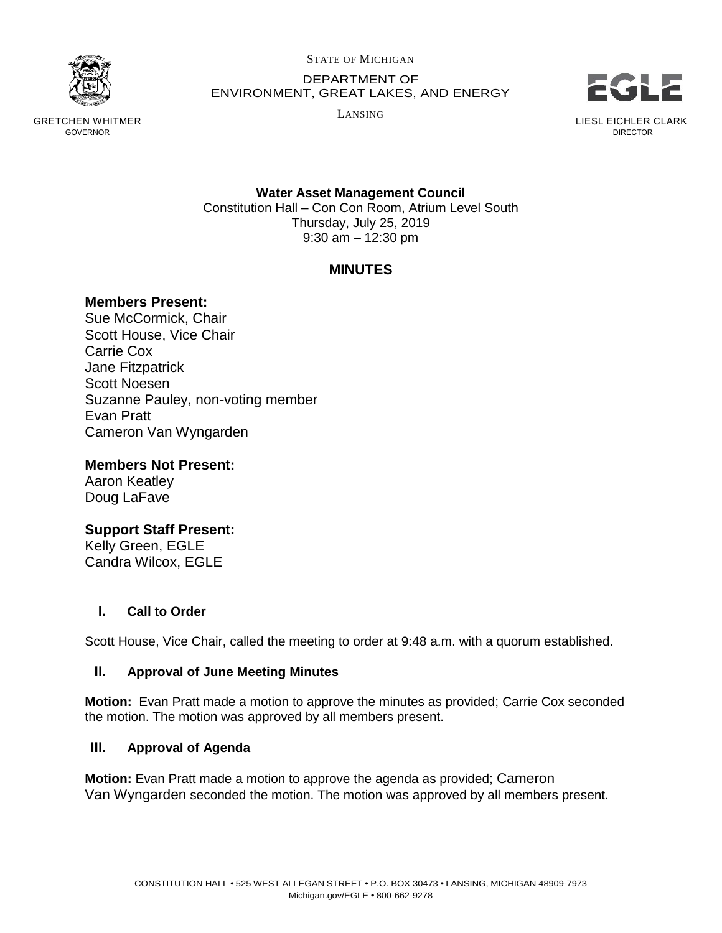

GRETCHEN WHITMER GOVERNOR

STATE OF MICHIGAN

DEPARTMENT OF ENVIRONMENT, GREAT LAKES, AND ENERGY

LANSING



DIRECTOR

**Water Asset Management Council** Constitution Hall – Con Con Room, Atrium Level South Thursday, July 25, 2019 9:30 am – 12:30 pm

# **MINUTES**

## **Members Present:**

Sue McCormick, Chair Scott House, Vice Chair Carrie Cox Jane Fitzpatrick Scott Noesen Suzanne Pauley, non-voting member Evan Pratt Cameron Van Wyngarden

**Members Not Present:**

Aaron Keatley Doug LaFave

**Support Staff Present:** Kelly Green, EGLE Candra Wilcox, EGLE

**I. Call to Order**

Scott House, Vice Chair, called the meeting to order at 9:48 a.m. with a quorum established.

### **II. Approval of June Meeting Minutes**

**Motion:** Evan Pratt made a motion to approve the minutes as provided; Carrie Cox seconded the motion. The motion was approved by all members present.

### **III. Approval of Agenda**

**Motion:** Evan Pratt made a motion to approve the agenda as provided; Cameron Van Wyngarden seconded the motion. The motion was approved by all members present.